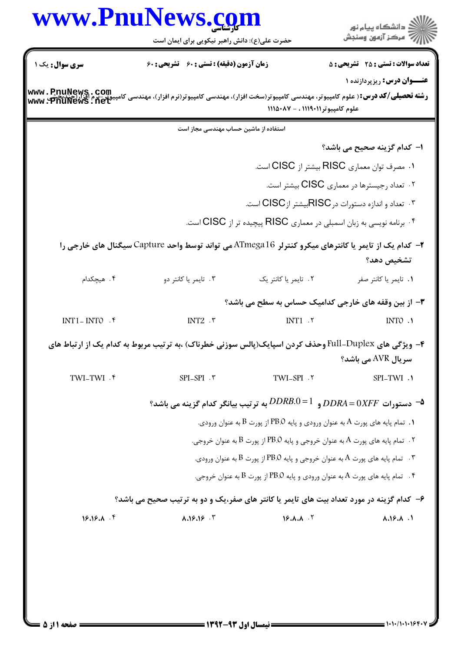|                | www.PnuNews.com<br>حضرت علی(ع): دانش راهبر نیکویی برای ایمان است                                                                                                                    |                                                                                   | ِ<br>∭ دانشڪاه پيام نور<br>∭ مرڪز آزمون وسنڊش        |
|----------------|-------------------------------------------------------------------------------------------------------------------------------------------------------------------------------------|-----------------------------------------------------------------------------------|------------------------------------------------------|
| سری سوال: یک ۱ | زمان آزمون (دقیقه) : تستی : 60 ٪ تشریحی : 60                                                                                                                                        |                                                                                   | <b>تعداد سوالات : تستی : 25 - تشریحی : 5</b>         |
|                | <b>رشته تحصیلی/کد درس:</b> ( علوم کامپیوتر، مهندسی کامپیوتر(سخت افزار)، مهندسی کامپیوتر(نرم افزار)، مهندسی کامپیوتر-برم افزار(چیدیخشی <b>, www . PnuNews</b><br>Www . PnuNews . net | علوم كامپيوتر١١١٩٠١١ ، - ١١١٥٠٨٧                                                  | <b>عنـــوان درس:</b> ریزپردازنده ۱                   |
|                | استفاده از ماشین حساب مهندسی مجاز است                                                                                                                                               |                                                                                   |                                                      |
|                |                                                                                                                                                                                     |                                                                                   | ا– كدام گزينه صحيح مي باشد؟                          |
|                |                                                                                                                                                                                     | ۰۱ مصرف توان معماري RISC بيشتر از CISC است.                                       |                                                      |
|                |                                                                                                                                                                                     |                                                                                   | ۰۲ تعداد رجیسترها در معماری CISC بیشتر است.          |
|                |                                                                                                                                                                                     | ۰۳ تعداد و اندازه دستورات درRISCبيشتر ازCISC است.                                 |                                                      |
|                |                                                                                                                                                                                     | ۰۴ برنامه نویسی به زبان اسمبلی در معماری RISC پیچیده تر از CISC است.              |                                                      |
|                | ۲- کدام یک از تایمر یا کانترهای میکرو کنترلر ATmega16 می تواند توسط واحد Capture سیگنال های خارجی را                                                                                |                                                                                   | تشخيص دهد؟                                           |
| ۴. هیچکدام     | ۰۳ تايمر يا كانتر دو                                                                                                                                                                | ٢. تايمر يا كانتر يک                                                              | ٠١. تايمر يا كانتر صفر                               |
|                |                                                                                                                                                                                     |                                                                                   | ۳- از بین وقفه های خارجی کدامیک حساس به سطح می باشد؟ |
| INT1-INTO . ۴  | INT $2.7$                                                                                                                                                                           | INT1.7                                                                            | INTO .1                                              |
|                | ۴- ویژگی های Full-Duplex وحذف کردن اسپایک(پالس سوزنی خطرناک) ،به ترتیب مربوط به کدام یک از ارتباط های                                                                               |                                                                                   | سر پال AVR مے باشد؟                                  |
| TWI-TWI . ۴    | SPI-SPI . ٣                                                                                                                                                                         | TWI <sub>-SPI</sub> .۲                                                            | SPI-TWI .1                                           |
|                | 9- دستورات $\mathit{DDRA}\!=\!0$ و $\mathit{DDRB}.0\!=\!1$ به ترتيب بيانگر كدام گزينه مي باشد $\blacktriangle$                                                                      |                                                                                   |                                                      |
|                |                                                                                                                                                                                     | . تمام پایه های پورت A به عنوان ورودی و پایه PB.O از پورت B به عنوان ورودی. $\,$  |                                                      |
|                |                                                                                                                                                                                     | ۰۲ . تمام پایه های پورت A به عنوان خروجی و پایه PB.O از پورت B به عنوان خروجی.    |                                                      |
|                |                                                                                                                                                                                     | . تمام پایه های پورت A به عنوان خروجی و پایه PB.O از پورت B به عنوان ورودی.       |                                                      |
|                |                                                                                                                                                                                     | ۰۴ تمام پایه های پورت A به عنوان ورودی و پایه PB.O از پورت B به عنوان خروجی. $\,$ |                                                      |
|                | ۶- کدام گزینه در مورد تعداد بیت های تایمر یا کانتر های صفر،یک و دو به ترتیب صحیح می باشد؟                                                                                           |                                                                                   |                                                      |
|                | A.18.19.7                                                                                                                                                                           | $18.1.1$ $V$                                                                      | $\lambda \cdot 19 \cdot \lambda$ .1                  |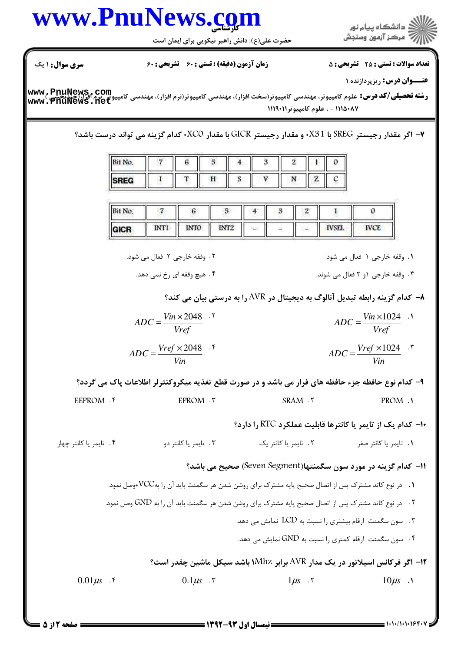## **تعداد سوالات : تستي : 25 - تشريحي : 5** زمان آزمون (دقيقه) : تستى ; ۶۰ ٪ تشريحي ; ۶۰ عنــوان درس: ریزپردازنده ۱ **رشته تحصیلی/کد درس:** علوم کامپیوتر، مهندسی کامپیوتر(سخت افزار)، مهندسی کامپیوتر(نرم افزار)، مهندسی کامپیوتر-نرم افزار(چیدیجیتیم)<br>www . PnuNews . net ١١١٥٠٨٧ - ، علوم كامپيوتر ١١١٩٠١١ ۷– اگر مقدار رجیستر SREG با X31· و مقدار رجیستر GICR با مقدار XCO· كدام گزینه می تواند درست باشد؟ Bit No.  $\overline{7}$  $\boldsymbol{6}$ 5  $\overline{\mathbf{3}}$  $\overline{2}$ 1  $\overline{4}$ O  $\mathbf{I}$ T H S V Z  $\mathbf C$ Ń **SREG Bit No**  $\overline{7}$  $\boldsymbol{6}$ 5 4 3  $\overline{2}$  $\mathbf{I}$  $\mathfrak{o}$ **INT1 INTO** INT<sub>2</sub> **IVSEL IVCE GICR** ١. وقفه خارجي ١ فعال مي شود ۲. وقفه خارجي ۲ فعال مي شود. ۴ . هيچ وقفه اي رخ نمي دهد. ۰۳ وقفه خارجي ۱و ۲ فعال مي شوند. خدام گزینه رابطه تبدیل آنالوگ به دیجیتال در AVR را به درستی بیان می کند؟  $\rightarrow$  $ADC = \frac{Vin \times 2048}{Vref}$ .  $ADC = \frac{Vin \times 1024}{Vref}$  .  $ADC = \frac{Vref \times 2048}{Vir}$ .  $ADC = \frac{Vref \times 1024}{Vin}$ . ۹- کدام نوع حافظه جزء حافظه های فرار می باشد و در صورت قطع تغذیه میکروکنترلر اطلاعات پاک می گردد؟ PROM .1 EEPROM . ۴ EPROM . ٣ SRAM . ٢ ۰۱- کدام یک از تایمر یا کانترها قابلیت عملکرد RTC را دارد؟ ۰۴ تايمر يا كانتر چهار ۰۳ تايمر يا کانتر دو ٢. تايمر يا كانتر يک ۰۱ تايمر يا كانتر صفر 11- كدام گزینه در مورد سون سگمنتها(Seven Segment) صحیح می باشد؟ ۰۱ در نوع کاتد مشترک پس از اتصال صحیح پایه مشترک برای روشن شدن هر سگمنت باید آن را بهVCC+وصل نمود. ۲. در نوع کاتد مشترک پس از اتصال صحیح پایه مشترک برای روشن شدن هر سگمنت باید آن را به GND وصل نمود. ۳. سون سگمنت ارقام بیشتری را نسبت به LCD نمایش می دهد. ۰۴ سون سگمنت ارقام کمتری را نسبت به GND نمایش می دهد.  $\bullet$ ۱۲- اگر فرکانس اسپلاتور در یک مدار AVR برابر ۱Mhz باشد سیکل ماشین چقدر است؟  $1\mu s$  .  $\tau$  $0.01 \mu s$  .  $\zeta$  $0.1\mu s$   $\cdot$   $\cdot$  $10\mu s$  .

## www.PnuNews.com

حضرت علی(ع): دانش راهبر نیکویی برای ایمان است

**سری سوال : ۱ یک** 

ر<br>اللاد دانشگاه پيام نور<br>اللاد مرکز آزمون وسنجش

 $= 1.1.11.1.199.1$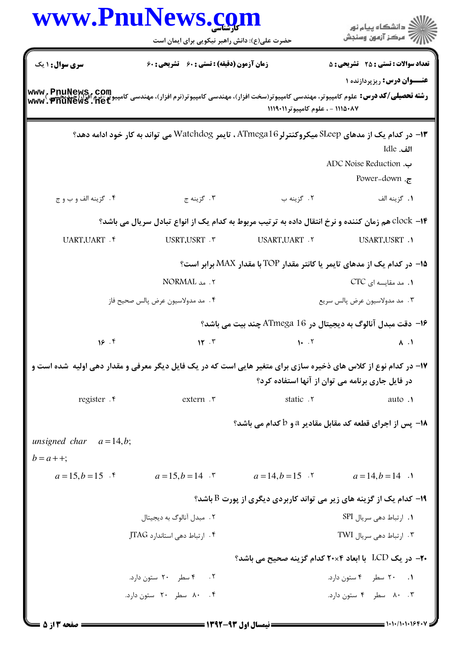|                                                                                                                 | www.PnuNews.com<br>حضرت علی(ع): دانش راهبر نیکویی برای ایمان است                                    |                                                                                       | دانشگاه پيام نور $\le$<br>7 مرڪز آزمون وسنڊش     |
|-----------------------------------------------------------------------------------------------------------------|-----------------------------------------------------------------------------------------------------|---------------------------------------------------------------------------------------|--------------------------------------------------|
| <b>سری سوال :</b> ۱ یک                                                                                          | <b>زمان آزمون (دقیقه) : تستی : 60 تشریحی : 60</b>                                                   |                                                                                       | <b>تعداد سوالات : تستی : 25 ۔ تشریحی : 5</b>     |
|                                                                                                                 |                                                                                                     | ۱۱۱۵۰۸۷ - ، علوم کامپیوتر ۱۱۱۹۰۱۱                                                     | <b>عنـــوان درس:</b> ریزپردازنده ۱               |
|                                                                                                                 | ۱۳– در کدام یک از مدهای SLeep میکروکنترلر ATmega16 ، تایمر Watchdog می تواند به کار خود ادامه دهد؟  |                                                                                       | الف. Idle<br>ADC Noise Reduction .               |
| ۰۴ گزينه الف و ب و ج                                                                                            | ۰۳ گزينه ج                                                                                          | ۰۲ گزينه ب                                                                            | Power-down. $\tau$<br>1. گزينه الف               |
|                                                                                                                 | ۰۱۴ - clock هم زمان کننده و نرخ انتقال داده به ترتیب مربوط به کدام یک از انواع تبادل سریال می باشد؟ |                                                                                       |                                                  |
| UART, UART . ۴                                                                                                  | USRT.USRT . ٣                                                                                       | USART, UART . ٢                                                                       | USART.USRT .1                                    |
|                                                                                                                 |                                                                                                     | ۱۵- در کدام یک از مدهای تایمر یا کانتر مقدار TOP با مقدار MAX برابر است؟              |                                                  |
|                                                                                                                 | ۲. مد NORMAL                                                                                        |                                                                                       | ۰۱. مد مقایسه ای CTC                             |
| ۴. مد مدولاسيون عرض پالس صحيح فاز                                                                               |                                                                                                     | ٠٣ مد مدولاسيون عرض پالس سريع                                                         |                                                  |
|                                                                                                                 |                                                                                                     | ۱۶- دقت مبدل آنالوگ به دیجیتال در ATmega 16 چند بیت می باشد؟                          |                                                  |
| 18.9                                                                                                            | 15.7                                                                                                | 1.7                                                                                   | $\lambda$ . $\lambda$                            |
| ۱۷– در کدام نوع از کلاس های ذخیره سازی برای متغیر هایی است که در یک فایل دیگر معرفی و مقدار دهی اولیه شده است و |                                                                                                     |                                                                                       | در فایل جاری برنامه می توان از آنها استفاده کرد؟ |
| register . e                                                                                                    | extern .r                                                                                           | static .Y                                                                             | auto .1                                          |
|                                                                                                                 |                                                                                                     | 18- پس از اجرای قطعه کد مقابل مقادیر a و b کدام می باشد؟                              |                                                  |
| unsigned char $a=14, b;$<br>$b = a + +$ ;                                                                       |                                                                                                     |                                                                                       |                                                  |
|                                                                                                                 | $a=15, b=15$ f $a=15, b=14$ f $a=14, b=15$ f $a=14, b=14$ f                                         |                                                                                       |                                                  |
|                                                                                                                 |                                                                                                     | ا- کدام یک از گزینه های زیر می تواند کاربردی دیگری از پورت $\mathrm{B}$ باشد؟ $\cdot$ |                                                  |
|                                                                                                                 | ۲. مبدل آنالوگ به دیجیتال                                                                           |                                                                                       | ۰۱ ارتباط دهی سريال SPI                          |
|                                                                                                                 | ۰۴ ارتباط دهی استاندارد JTAG                                                                        |                                                                                       | ۰۳ ارتباط دهی سريال TWI                          |
|                                                                                                                 |                                                                                                     | ۲۰– در یک LCD   با ابعاد ۲۰×۲۰ کدام گزینه صحیح می باشد؟                               |                                                  |
|                                                                                                                 |                                                                                                     |                                                                                       |                                                  |
|                                                                                                                 | ۰۲ - ۴ سطر ۲۰ ستون دارد.                                                                            |                                                                                       | ۰۱ ۲۰ سطر ۴ ستون دارد.                           |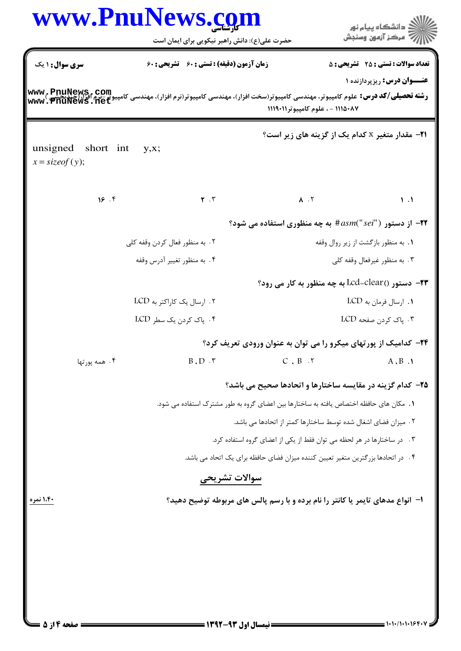|                                                                                                                                                                                                                                       | <b>www.PnuNews.co</b><br>حضرت علی(ع): دانش راهبر نیکویی برای ایمان است |                                                                                         | د<br>آڪ دانشڪاه پيام نور<br>آڳ مرڪز آزمون وسنڊش |  |  |
|---------------------------------------------------------------------------------------------------------------------------------------------------------------------------------------------------------------------------------------|------------------------------------------------------------------------|-----------------------------------------------------------------------------------------|-------------------------------------------------|--|--|
| سری سوال: ۱ یک                                                                                                                                                                                                                        | زمان آزمون (دقیقه) : تستی : 60 تشریحی : 60                             |                                                                                         | <b>تعداد سوالات : تستی : 25 - تشریحی : 5</b>    |  |  |
| <b>عنـــوان درس:</b> ریزپردازنده ۱<br><b>رشته تحصیلی/کد درس:</b> علوم کامپیوتر، مهندسی کامپیوتر(سخت افزار)، مهندسی کامپیوتر(نرم افزار)، مهندسی کامپیوتر-نرم افزار(چیدیحشع<br>www . PnuNews . net<br>۱۱۱۵۰۸۷ - ، علوم کامپیوتر ۱۱۱۹۰۱۱ |                                                                        |                                                                                         |                                                 |  |  |
| unsigned short int<br>$x = \text{sizeof}(y);$                                                                                                                                                                                         | y,x;                                                                   | <b>۲۱</b> - مقدار متغیر x کدام یک از گزینه های زیر است؟                                 |                                                 |  |  |
| 18.9                                                                                                                                                                                                                                  | $\mathbf{r}$ . $\mathbf{r}$                                            | $\lambda$ . T                                                                           | $\mathcal{N}$ .                                 |  |  |
|                                                                                                                                                                                                                                       |                                                                        | از دستور ("#asm("sei# به چه منظوری استفاده می شود؟                                      |                                                 |  |  |
|                                                                                                                                                                                                                                       | ۲. به منظور فعال کردن وقفه کلی                                         | ۰۱ به منظور بازگشت از زیر روال وقفه                                                     |                                                 |  |  |
|                                                                                                                                                                                                                                       | ۰۴ به منظور تغییر آدرس وقفه                                            | ۰۳ به منظور غیرفعال وقفه کلی                                                            |                                                 |  |  |
|                                                                                                                                                                                                                                       |                                                                        | <b>۲۳</b> - دستور ()Lcd-clear به چه منظور به کار می رود؟                                |                                                 |  |  |
|                                                                                                                                                                                                                                       | ۲. ارسال یک کاراکتر به LCD                                             |                                                                                         | ۱. ارسال فرمان به LCD                           |  |  |
|                                                                                                                                                                                                                                       | ۴. پاک کردن یک سطر LCD                                                 |                                                                                         | ۰۳ پاک کردن صفحه LCD                            |  |  |
|                                                                                                                                                                                                                                       |                                                                        | ۲۴- کدامیک از پورتهای میکرو را می توان به عنوان ورودی تعریف کرد؟                        |                                                 |  |  |
| ۰۴ همه پورتها                                                                                                                                                                                                                         | $B \cdot D \cdot \tau$                                                 | $C$ , $B$ . $\tau$                                                                      | $A$ , $B$ . $\lambda$                           |  |  |
|                                                                                                                                                                                                                                       |                                                                        | ۲۵- کدام گزینه در مقایسه ساختارها و اتحادها صحیح می باشد؟                               |                                                 |  |  |
|                                                                                                                                                                                                                                       |                                                                        | 1.  مكان هاى حافظه اختصاص يافته به ساختارها بين اعضاى گروه به طور مشترک استفاده مى شود. |                                                 |  |  |
|                                                                                                                                                                                                                                       |                                                                        | ٢. ميزان فضاى اشغال شده توسط ساختارها كمتر از اتحادها مى باشد.                          |                                                 |  |  |
|                                                                                                                                                                                                                                       |                                                                        | ۰۳ در ساختارها در هر لحظه می توان فقط از یکی از اعضای گروه استفاده کرد.                 |                                                 |  |  |
|                                                                                                                                                                                                                                       |                                                                        | ۰۴ در اتحادها بزرگترین متغیر تعیین کننده میزان فضای حافظه برای یک اتحاد می باشد.        |                                                 |  |  |
|                                                                                                                                                                                                                                       | سوالات تشريحى                                                          |                                                                                         |                                                 |  |  |
| ۱،۴۰ نمره                                                                                                                                                                                                                             |                                                                        | ا– انواع مدهای تایمر یا کانتر را نام برده و با رسم پالس های مربوطه توضیح دهید؟          |                                                 |  |  |
|                                                                                                                                                                                                                                       |                                                                        |                                                                                         |                                                 |  |  |
|                                                                                                                                                                                                                                       |                                                                        |                                                                                         |                                                 |  |  |
|                                                                                                                                                                                                                                       |                                                                        |                                                                                         |                                                 |  |  |
|                                                                                                                                                                                                                                       |                                                                        |                                                                                         |                                                 |  |  |